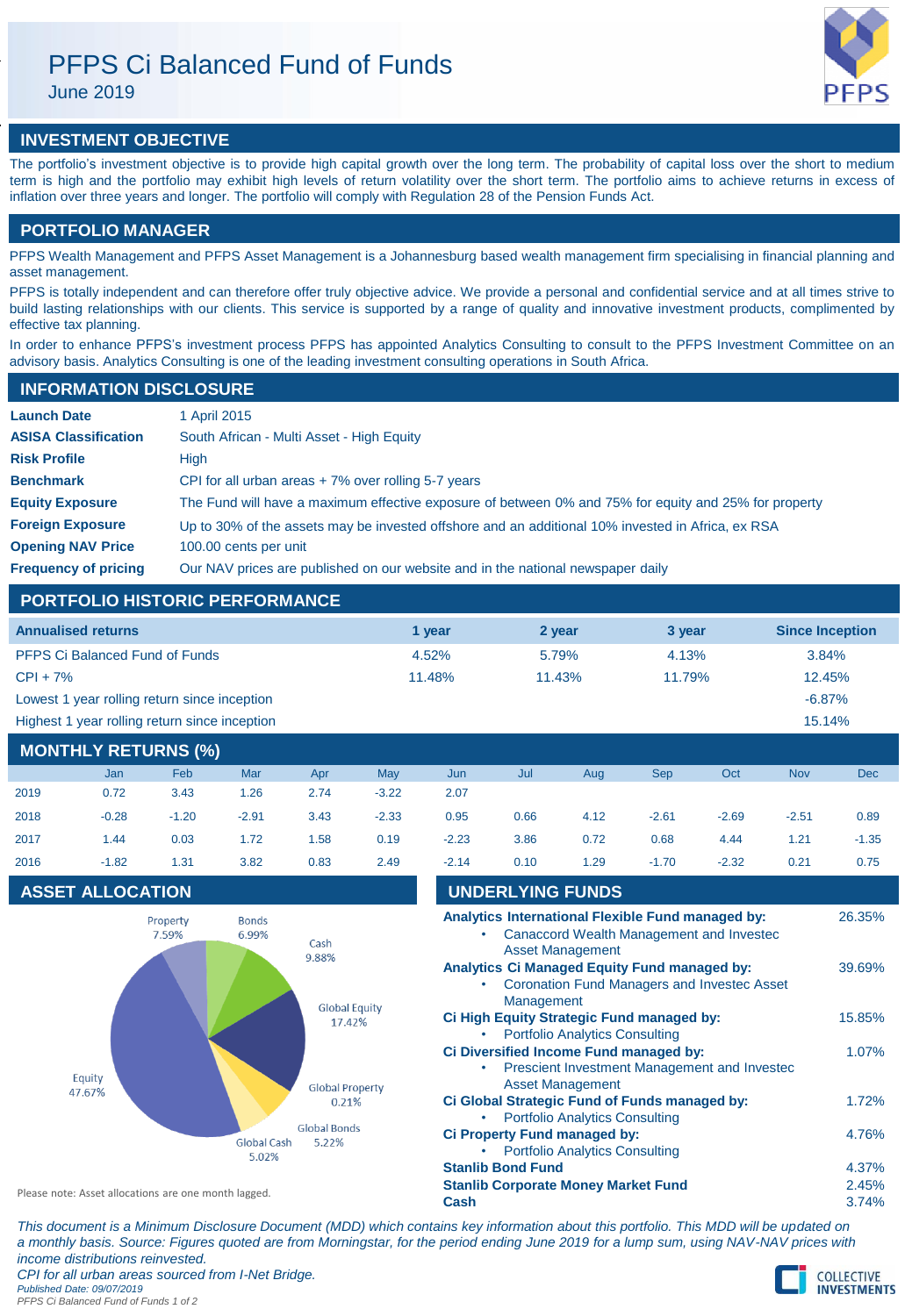# PFPS Ci Balanced Fund of Funds

June 2019



# **INVESTMENT OBJECTIVE**

The portfolio's investment objective is to provide high capital growth over the long term. The probability of capital loss over the short to medium term is high and the portfolio may exhibit high levels of return volatility over the short term. The portfolio aims to achieve returns in excess of inflation over three years and longer. The portfolio will comply with Regulation 28 of the Pension Funds Act.

# **PORTFOLIO MANAGER**

PFPS Wealth Management and PFPS Asset Management is a Johannesburg based wealth management firm specialising in financial planning and asset management.

PFPS is totally independent and can therefore offer truly objective advice. We provide a personal and confidential service and at all times strive to build lasting relationships with our clients. This service is supported by a range of quality and innovative investment products, complimented by effective tax planning.

In order to enhance PFPS's investment process PFPS has appointed Analytics Consulting to consult to the PFPS Investment Committee on an advisory basis. Analytics Consulting is one of the leading investment consulting operations in South Africa.

## **INFORMATION DISCLOSURE**

| <b>Launch Date</b>          | 1 April 2015                                                                                          |
|-----------------------------|-------------------------------------------------------------------------------------------------------|
| <b>ASISA Classification</b> | South African - Multi Asset - High Equity                                                             |
| <b>Risk Profile</b>         | High                                                                                                  |
| <b>Benchmark</b>            | CPI for all urban areas $+7\%$ over rolling 5-7 years                                                 |
| <b>Equity Exposure</b>      | The Fund will have a maximum effective exposure of between 0% and 75% for equity and 25% for property |
| <b>Foreign Exposure</b>     | Up to 30% of the assets may be invested offshore and an additional 10% invested in Africa, ex RSA     |
| <b>Opening NAV Price</b>    | 100.00 cents per unit                                                                                 |
| <b>Frequency of pricing</b> | Our NAV prices are published on our website and in the national newspaper daily                       |

# **PORTFOLIO HISTORIC PERFORMANCE**

| <b>Annualised returns</b>                     | 1 vear | 2 year | 3 year | <b>Since Inception</b> |
|-----------------------------------------------|--------|--------|--------|------------------------|
| <b>PFPS Ci Balanced Fund of Funds</b>         | 4.52%  | 5.79%  | 4.13%  | 3.84%                  |
| $CPI + 7\%$                                   | 11.48% | 11.43% | 11.79% | 12.45%                 |
| Lowest 1 year rolling return since inception  |        |        |        | $-6.87%$               |
| Highest 1 year rolling return since inception |        |        |        | 15.14%                 |

# **MONTHLY RETURNS (%)**

|      | Jan     | Feb     | Mar     | Apr  | May     | Jun     | Jul  | Aug  | <b>Sep</b> | Oct     | <b>Nov</b> | <b>Dec</b> |
|------|---------|---------|---------|------|---------|---------|------|------|------------|---------|------------|------------|
| 2019 | 0.72    | 3.43    | 1.26    | 2.74 | $-3.22$ | 2.07    |      |      |            |         |            |            |
| 2018 | $-0.28$ | $-1.20$ | $-2.91$ | 3.43 | $-2.33$ | 0.95    | 0.66 | 4.12 | $-2.61$    | $-2.69$ | $-2.51$    | 0.89       |
| 2017 | 1.44    | 0.03    | 1.72    | 1.58 | 0.19    | $-2.23$ | 3.86 | 0.72 | 0.68       | 4.44    | 1.21       | $-1.35$    |
| 2016 | $-1.82$ | 1.31    | 3.82    | 0.83 | 2.49    | $-2.14$ | 0.10 | 1.29 | $-1.70$    | $-2.32$ | 0.21       | 0.75       |

# **ASSET ALLOCATION**



| 2017             | 1.44                    | 0.03                                                                                    | 1.72                                   | 1.58 | 0.19                                                                                                                     | $-2.23$                               | 3.86                                          | 0.72                                       | 0.68                                                                                   | 4.44    | 1.21   | $-1.35$ |
|------------------|-------------------------|-----------------------------------------------------------------------------------------|----------------------------------------|------|--------------------------------------------------------------------------------------------------------------------------|---------------------------------------|-----------------------------------------------|--------------------------------------------|----------------------------------------------------------------------------------------|---------|--------|---------|
| 2016             | $-1.82$                 | 1.31                                                                                    | 3.82                                   | 0.83 | 2.49                                                                                                                     | $-2.14$                               | 0.10                                          | 1.29                                       | $-1.70$                                                                                | $-2.32$ | 0.21   | 0.75    |
|                  | <b>ASSET ALLOCATION</b> |                                                                                         |                                        |      |                                                                                                                          |                                       | <b>UNDERLYING FUNDS</b>                       |                                            |                                                                                        |         |        |         |
|                  |                         | Property<br>7.59%                                                                       | <b>Bonds</b><br>6.99%<br>Cash<br>9.88% |      | Analytics International Flexible Fund managed by:<br>Canaccord Wealth Management and Invested<br><b>Asset Management</b> |                                       |                                               |                                            |                                                                                        |         |        | 26.35%  |
|                  |                         |                                                                                         |                                        |      | <b>Analytics Ci Managed Equity Fund managed by:</b><br><b>Coronation Fund Managers and Investec Asset</b><br>Management  |                                       |                                               |                                            |                                                                                        |         | 39.69% |         |
|                  |                         |                                                                                         | <b>Global Equity</b><br>17.42%         |      |                                                                                                                          | <b>Portfolio Analytics Consulting</b> | Ci High Equity Strategic Fund managed by:     |                                            |                                                                                        | 15.85%  |        |         |
| Equity<br>47.67% |                         | <b>Global Property</b><br>0.21%<br><b>Global Bonds</b><br>Global Cash<br>5.22%<br>5.02% |                                        |      |                                                                                                                          |                                       |                                               | <b>Asset Management</b>                    | Ci Diversified Income Fund managed by:<br>Prescient Investment Management and Invested |         |        | 1.07%   |
|                  |                         |                                                                                         |                                        |      |                                                                                                                          | <b>Portfolio Analytics Consulting</b> | Ci Global Strategic Fund of Funds managed by: |                                            |                                                                                        | 1.72%   |        |         |
|                  |                         |                                                                                         |                                        |      | <b>Ci Property Fund managed by:</b><br><b>Portfolio Analytics Consulting</b>                                             |                                       |                                               |                                            |                                                                                        |         | 4.76%  |         |
|                  |                         |                                                                                         |                                        |      |                                                                                                                          |                                       | <b>Stanlib Bond Fund</b>                      |                                            |                                                                                        |         |        | 4.37%   |
|                  |                         |                                                                                         |                                        |      |                                                                                                                          |                                       |                                               | <b>Stanlib Corporate Money Market Fund</b> |                                                                                        |         |        | 2.45%   |

**Cash** 3.74%

Please note: Asset allocations are one month lagged.

*This document is a Minimum Disclosure Document (MDD) which contains key information about this portfolio. This MDD will be updated on a monthly basis. Source: Figures quoted are from Morningstar, for the period ending June 2019 for a lump sum, using NAV-NAV prices with income distributions reinvested. CPI for all urban areas sourced from I-Net Bridge. Published Date: 09/07/2019 PFPS Ci Balanced Fund of Funds 1 of 2*